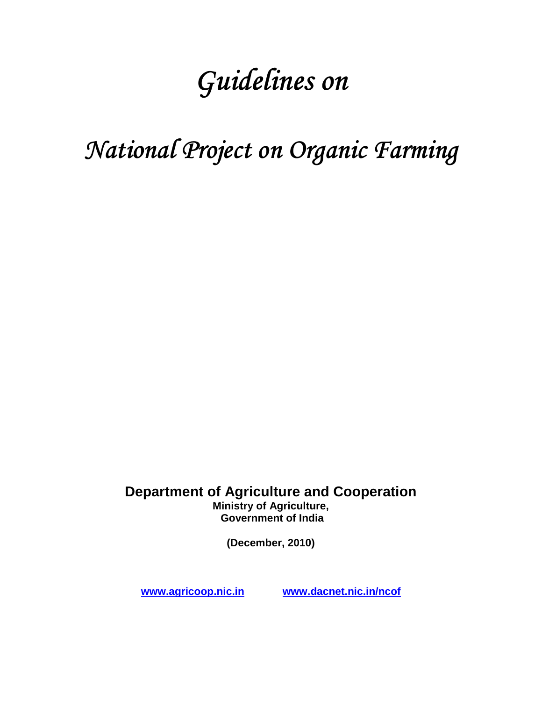# Guidelines on

# National Project on Organic Farming

**Department of Agriculture and Cooperation Ministry of Agriculture, Government of India** 

**(December, 2010)** 

**www.agricoop.nic.in www.dacnet.nic.in/ncof**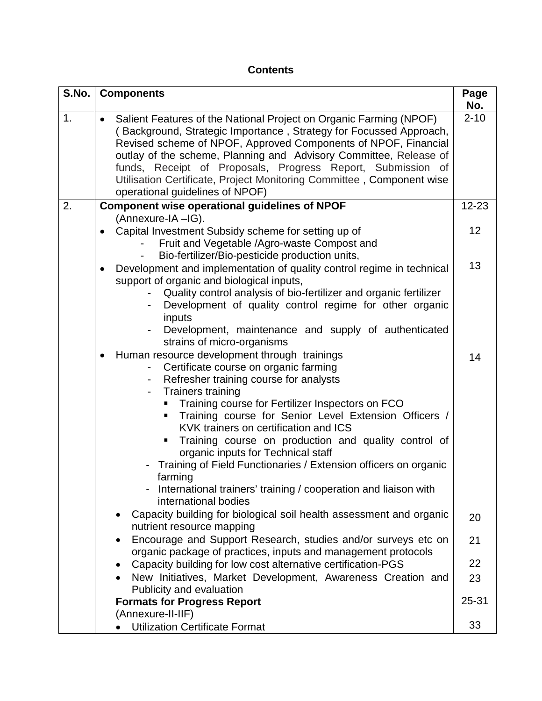#### **Contents**

| S.No. | <b>Components</b>                                                                                                                                                                                                                                                                                                                                                                                                                                                                                                                                                                                                                           | Page<br>No. |
|-------|---------------------------------------------------------------------------------------------------------------------------------------------------------------------------------------------------------------------------------------------------------------------------------------------------------------------------------------------------------------------------------------------------------------------------------------------------------------------------------------------------------------------------------------------------------------------------------------------------------------------------------------------|-------------|
| 1.    | Salient Features of the National Project on Organic Farming (NPOF)<br>$\bullet$<br>(Background, Strategic Importance, Strategy for Focussed Approach,<br>Revised scheme of NPOF, Approved Components of NPOF, Financial<br>outlay of the scheme, Planning and Advisory Committee, Release of<br>funds, Receipt of Proposals, Progress Report, Submission of<br>Utilisation Certificate, Project Monitoring Committee, Component wise<br>operational guidelines of NPOF)                                                                                                                                                                     | $2 - 10$    |
| 2.    | Component wise operational guidelines of NPOF<br>(Annexure-IA -IG).                                                                                                                                                                                                                                                                                                                                                                                                                                                                                                                                                                         | $12 - 23$   |
|       | Capital Investment Subsidy scheme for setting up of<br>$\bullet$<br>Fruit and Vegetable /Agro-waste Compost and<br>Bio-fertilizer/Bio-pesticide production units,                                                                                                                                                                                                                                                                                                                                                                                                                                                                           | 12          |
|       | Development and implementation of quality control regime in technical<br>$\bullet$<br>support of organic and biological inputs,<br>Quality control analysis of bio-fertilizer and organic fertilizer<br>Development of quality control regime for other organic<br>inputs<br>Development, maintenance and supply of authenticated<br>strains of micro-organisms                                                                                                                                                                                                                                                                             | 13          |
|       | Human resource development through trainings<br>Certificate course on organic farming<br>Refresher training course for analysts<br>$\blacksquare$<br><b>Trainers training</b><br>$\overline{\phantom{0}}$<br>Training course for Fertilizer Inspectors on FCO<br>Training course for Senior Level Extension Officers /<br>٠<br>KVK trainers on certification and ICS<br>Training course on production and quality control of<br>organic inputs for Technical staff<br>Training of Field Functionaries / Extension officers on organic<br>farming<br>International trainers' training / cooperation and liaison with<br>international bodies | 14          |
|       | Capacity building for biological soil health assessment and organic<br>$\bullet$<br>nutrient resource mapping                                                                                                                                                                                                                                                                                                                                                                                                                                                                                                                               | 20          |
|       | Encourage and Support Research, studies and/or surveys etc on<br>$\bullet$<br>organic package of practices, inputs and management protocols                                                                                                                                                                                                                                                                                                                                                                                                                                                                                                 | 21          |
|       | Capacity building for low cost alternative certification-PGS<br>$\bullet$                                                                                                                                                                                                                                                                                                                                                                                                                                                                                                                                                                   | 22          |
|       | New Initiatives, Market Development, Awareness Creation and<br>$\bullet$<br>Publicity and evaluation                                                                                                                                                                                                                                                                                                                                                                                                                                                                                                                                        | 23          |
|       | <b>Formats for Progress Report</b>                                                                                                                                                                                                                                                                                                                                                                                                                                                                                                                                                                                                          | $25 - 31$   |
|       | (Annexure-II-IIF)<br><b>Utilization Certificate Format</b>                                                                                                                                                                                                                                                                                                                                                                                                                                                                                                                                                                                  | 33          |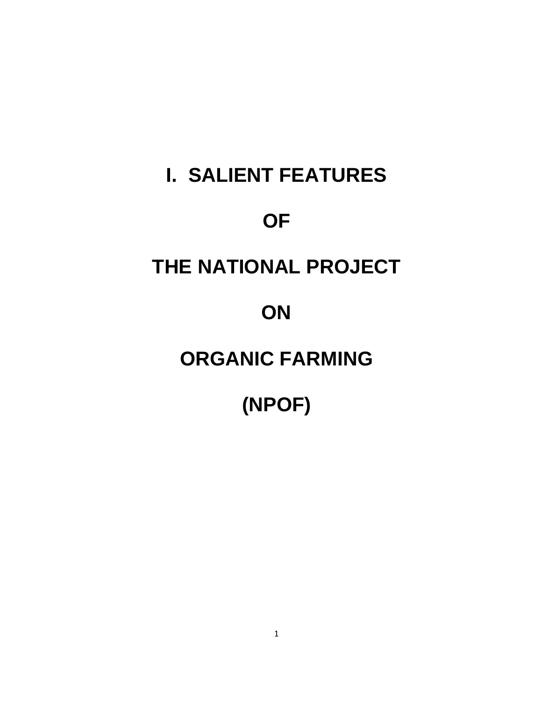# **I. SALIENT FEATURES OF THE NATIONAL PROJECT ON**

# **ORGANIC FARMING**

# **(NPOF)**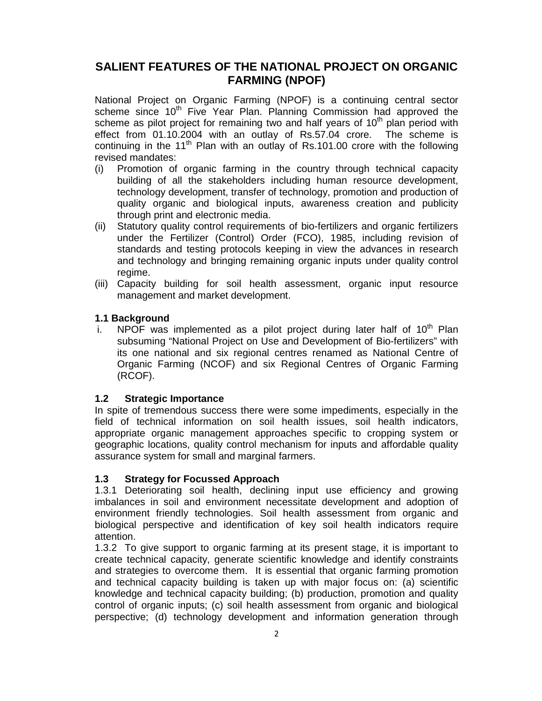#### **SALIENT FEATURES OF THE NATIONAL PROJECT ON ORGANIC FARMING (NPOF)**

National Project on Organic Farming (NPOF) is a continuing central sector scheme since  $10<sup>th</sup>$  Five Year Plan. Planning Commission had approved the scheme as pilot project for remaining two and half years of  $10<sup>th</sup>$  plan period with effect from 01.10.2004 with an outlay of Rs.57.04 crore. The scheme is continuing in the 11<sup>th</sup> Plan with an outlay of Rs.101.00 crore with the following revised mandates:

- (i) Promotion of organic farming in the country through technical capacity building of all the stakeholders including human resource development, technology development, transfer of technology, promotion and production of quality organic and biological inputs, awareness creation and publicity through print and electronic media.
- (ii) Statutory quality control requirements of bio-fertilizers and organic fertilizers under the Fertilizer (Control) Order (FCO), 1985, including revision of standards and testing protocols keeping in view the advances in research and technology and bringing remaining organic inputs under quality control regime.
- (iii) Capacity building for soil health assessment, organic input resource management and market development.

#### **1.1 Background**

i. NPOF was implemented as a pilot project during later half of  $10<sup>th</sup>$  Plan subsuming "National Project on Use and Development of Bio-fertilizers" with its one national and six regional centres renamed as National Centre of Organic Farming (NCOF) and six Regional Centres of Organic Farming (RCOF).

#### **1.2 Strategic Importance**

In spite of tremendous success there were some impediments, especially in the field of technical information on soil health issues, soil health indicators, appropriate organic management approaches specific to cropping system or geographic locations, quality control mechanism for inputs and affordable quality assurance system for small and marginal farmers.

#### **1.3 Strategy for Focussed Approach**

1.3.1 Deteriorating soil health, declining input use efficiency and growing imbalances in soil and environment necessitate development and adoption of environment friendly technologies. Soil health assessment from organic and biological perspective and identification of key soil health indicators require attention.

1.3.2 To give support to organic farming at its present stage, it is important to create technical capacity, generate scientific knowledge and identify constraints and strategies to overcome them. It is essential that organic farming promotion and technical capacity building is taken up with major focus on: (a) scientific knowledge and technical capacity building; (b) production, promotion and quality control of organic inputs; (c) soil health assessment from organic and biological perspective; (d) technology development and information generation through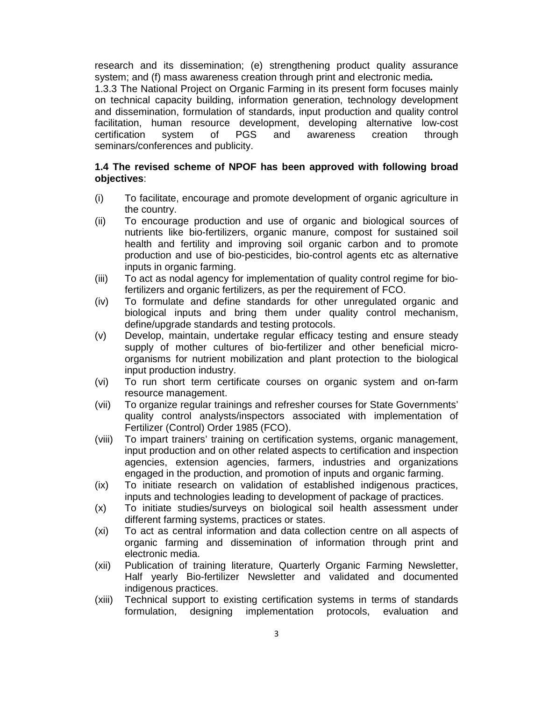research and its dissemination; (e) strengthening product quality assurance system; and (f) mass awareness creation through print and electronic media**.**

1.3.3 The National Project on Organic Farming in its present form focuses mainly on technical capacity building, information generation, technology development and dissemination, formulation of standards, input production and quality control facilitation, human resource development, developing alternative low-cost certification system of PGS and awareness creation through seminars/conferences and publicity.

#### **1.4 The revised scheme of NPOF has been approved with following broad objectives**:

- (i) To facilitate, encourage and promote development of organic agriculture in the country.
- (ii) To encourage production and use of organic and biological sources of nutrients like bio-fertilizers, organic manure, compost for sustained soil health and fertility and improving soil organic carbon and to promote production and use of bio-pesticides, bio-control agents etc as alternative inputs in organic farming.
- (iii) To act as nodal agency for implementation of quality control regime for biofertilizers and organic fertilizers, as per the requirement of FCO.
- (iv) To formulate and define standards for other unregulated organic and biological inputs and bring them under quality control mechanism, define/upgrade standards and testing protocols.
- (v) Develop, maintain, undertake regular efficacy testing and ensure steady supply of mother cultures of bio-fertilizer and other beneficial microorganisms for nutrient mobilization and plant protection to the biological input production industry.
- (vi) To run short term certificate courses on organic system and on-farm resource management.
- (vii) To organize regular trainings and refresher courses for State Governments' quality control analysts/inspectors associated with implementation of Fertilizer (Control) Order 1985 (FCO).
- (viii) To impart trainers' training on certification systems, organic management, input production and on other related aspects to certification and inspection agencies, extension agencies, farmers, industries and organizations engaged in the production, and promotion of inputs and organic farming.
- (ix) To initiate research on validation of established indigenous practices, inputs and technologies leading to development of package of practices.
- (x) To initiate studies/surveys on biological soil health assessment under different farming systems, practices or states.
- (xi) To act as central information and data collection centre on all aspects of organic farming and dissemination of information through print and electronic media.
- (xii) Publication of training literature, Quarterly Organic Farming Newsletter, Half yearly Bio-fertilizer Newsletter and validated and documented indigenous practices.
- (xiii) Technical support to existing certification systems in terms of standards formulation, designing implementation protocols, evaluation and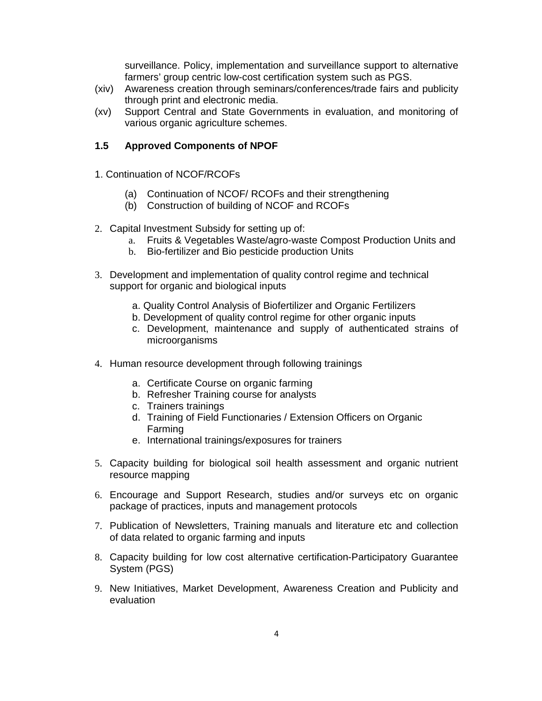surveillance. Policy, implementation and surveillance support to alternative farmers' group centric low-cost certification system such as PGS.

- (xiv) Awareness creation through seminars/conferences/trade fairs and publicity through print and electronic media.
- (xv) Support Central and State Governments in evaluation, and monitoring of various organic agriculture schemes.

#### **1.5 Approved Components of NPOF**

- 1. Continuation of NCOF/RCOFs
	- (a) Continuation of NCOF/ RCOFs and their strengthening
	- (b) Construction of building of NCOF and RCOFs
- 2. Capital Investment Subsidy for setting up of:
	- a. Fruits & Vegetables Waste/agro-waste Compost Production Units and
	- b. Bio-fertilizer and Bio pesticide production Units
- 3. Development and implementation of quality control regime and technical support for organic and biological inputs
	- a. Quality Control Analysis of Biofertilizer and Organic Fertilizers
	- b. Development of quality control regime for other organic inputs
	- c. Development, maintenance and supply of authenticated strains of microorganisms
- 4. Human resource development through following trainings
	- a. Certificate Course on organic farming
	- b. Refresher Training course for analysts
	- c. Trainers trainings
	- d. Training of Field Functionaries / Extension Officers on Organic Farming
	- e. International trainings/exposures for trainers
- 5. Capacity building for biological soil health assessment and organic nutrient resource mapping
- 6. Encourage and Support Research, studies and/or surveys etc on organic package of practices, inputs and management protocols
- 7. Publication of Newsletters, Training manuals and literature etc and collection of data related to organic farming and inputs
- 8. Capacity building for low cost alternative certification-Participatory Guarantee System (PGS)
- 9. New Initiatives, Market Development, Awareness Creation and Publicity and evaluation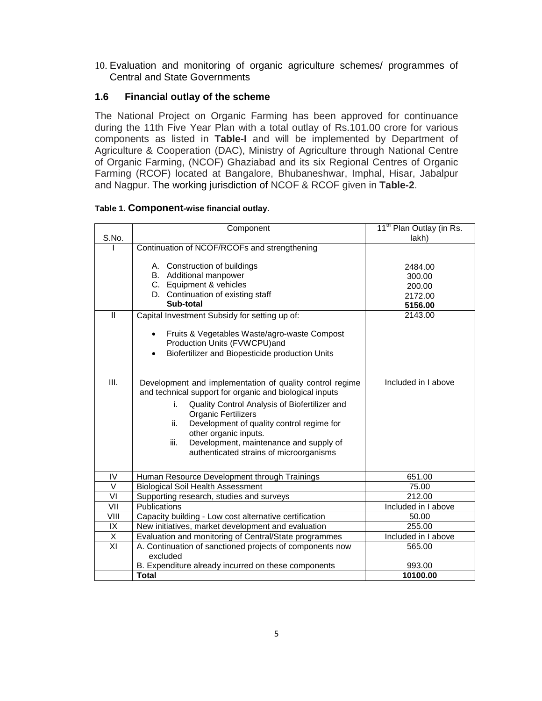10. Evaluation and monitoring of organic agriculture schemes/ programmes of Central and State Governments

#### **1.6 Financial outlay of the scheme**

The National Project on Organic Farming has been approved for continuance during the 11th Five Year Plan with a total outlay of Rs.101.00 crore for various components as listed in **Table-I** and will be implemented by Department of Agriculture & Cooperation (DAC), Ministry of Agriculture through National Centre of Organic Farming, (NCOF) Ghaziabad and its six Regional Centres of Organic Farming (RCOF) located at Bangalore, Bhubaneshwar, Imphal, Hisar, Jabalpur and Nagpur. The working jurisdiction of NCOF & RCOF given in **Table-2**.

#### **Table 1. Component-wise financial outlay.**

| S.No.          | Component                                                                                                                                                                                                                                                                                                                                                                          | 11 <sup>th</sup> Plan Outlay (in Rs.<br>lakh)                |
|----------------|------------------------------------------------------------------------------------------------------------------------------------------------------------------------------------------------------------------------------------------------------------------------------------------------------------------------------------------------------------------------------------|--------------------------------------------------------------|
|                | Continuation of NCOF/RCOFs and strengthening                                                                                                                                                                                                                                                                                                                                       |                                                              |
| $\mathbf{H}$   | A. Construction of buildings<br>B. Additional manpower<br>C. Equipment & vehicles<br>D. Continuation of existing staff<br>Sub-total<br>Capital Investment Subsidy for setting up of:                                                                                                                                                                                               | 2484.00<br>300.00<br>200.00<br>2172.00<br>5156.00<br>2143.00 |
|                | Fruits & Vegetables Waste/agro-waste Compost<br>$\bullet$<br>Production Units (FVWCPU)and<br>Biofertilizer and Biopesticide production Units                                                                                                                                                                                                                                       |                                                              |
| III.           | Development and implementation of quality control regime<br>and technical support for organic and biological inputs<br>Quality Control Analysis of Biofertilizer and<br>i.<br><b>Organic Fertilizers</b><br>Development of quality control regime for<br>ii.<br>other organic inputs.<br>iii.<br>Development, maintenance and supply of<br>authenticated strains of microorganisms | Included in I above                                          |
| IV             | Human Resource Development through Trainings                                                                                                                                                                                                                                                                                                                                       | 651.00                                                       |
| V              | <b>Biological Soil Health Assessment</b>                                                                                                                                                                                                                                                                                                                                           | 75.00                                                        |
| VI             | Supporting research, studies and surveys                                                                                                                                                                                                                                                                                                                                           | 212.00                                                       |
| VII            | Publications                                                                                                                                                                                                                                                                                                                                                                       | Included in I above                                          |
| VIII           | Capacity building - Low cost alternative certification                                                                                                                                                                                                                                                                                                                             | 50.00                                                        |
| IX             | New initiatives, market development and evaluation                                                                                                                                                                                                                                                                                                                                 | 255.00                                                       |
| Χ              | Evaluation and monitoring of Central/State programmes                                                                                                                                                                                                                                                                                                                              | Included in I above                                          |
| $\overline{X}$ | A. Continuation of sanctioned projects of components now<br>excluded                                                                                                                                                                                                                                                                                                               | 565.00                                                       |
|                | B. Expenditure already incurred on these components                                                                                                                                                                                                                                                                                                                                | 993.00                                                       |
|                | <b>Total</b>                                                                                                                                                                                                                                                                                                                                                                       | 10100.00                                                     |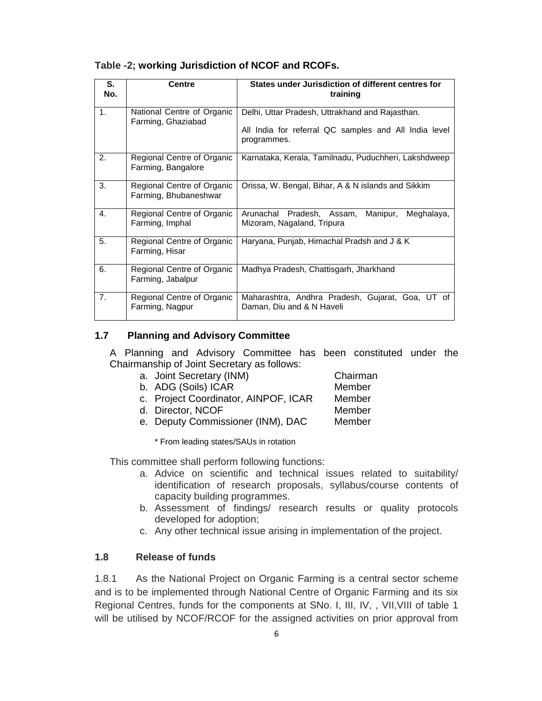| S.<br>No. | <b>Centre</b>                                       | States under Jurisdiction of different centres for<br>training                                                          |  |  |  |  |  |  |
|-----------|-----------------------------------------------------|-------------------------------------------------------------------------------------------------------------------------|--|--|--|--|--|--|
| 1.        | National Centre of Organic<br>Farming, Ghaziabad    | Delhi, Uttar Pradesh, Uttrakhand and Rajasthan.<br>All India for referral QC samples and All India level<br>programmes. |  |  |  |  |  |  |
| 2.        | Regional Centre of Organic<br>Farming, Bangalore    | Karnataka, Kerala, Tamilnadu, Puduchheri, Lakshdweep                                                                    |  |  |  |  |  |  |
| 3.        | Regional Centre of Organic<br>Farming, Bhubaneshwar | Orissa, W. Bengal, Bihar, A & N islands and Sikkim                                                                      |  |  |  |  |  |  |
| 4.        | Regional Centre of Organic<br>Farming, Imphal       | Arunachal Pradesh, Assam,<br>Manipur,<br>Meghalaya,<br>Mizoram, Nagaland, Tripura                                       |  |  |  |  |  |  |
| 5.        | Regional Centre of Organic<br>Farming, Hisar        | Haryana, Punjab, Himachal Pradsh and J & K                                                                              |  |  |  |  |  |  |
| 6.        | Regional Centre of Organic<br>Farming, Jabalpur     | Madhya Pradesh, Chattisgarh, Jharkhand                                                                                  |  |  |  |  |  |  |
| 7.        | Regional Centre of Organic<br>Farming, Nagpur       | Maharashtra, Andhra Pradesh, Gujarat, Goa, UT of<br>Daman, Diu and & N Haveli                                           |  |  |  |  |  |  |

#### **Table -2; working Jurisdiction of NCOF and RCOFs.**

#### **1.7 Planning and Advisory Committee**

A Planning and Advisory Committee has been constituted under the Chairmanship of Joint Secretary as follows:

- a. Joint Secretary (INM) Chairman
- b. ADG (Soils) ICAR Member
- c. Project Coordinator, AINPOF, ICAR Member
- d. Director, NCOF Member
- e. Deputy Commissioner (INM), DAC Member

\* From leading states/SAUs in rotation

This committee shall perform following functions:

- a. Advice on scientific and technical issues related to suitability/ identification of research proposals, syllabus/course contents of capacity building programmes.
- b. Assessment of findings/ research results or quality protocols developed for adoption;
- c. Any other technical issue arising in implementation of the project.

#### **1.8 Release of funds**

1.8.1 As the National Project on Organic Farming is a central sector scheme and is to be implemented through National Centre of Organic Farming and its six Regional Centres, funds for the components at SNo. I, III, IV, , VII,VIII of table 1 will be utilised by NCOF/RCOF for the assigned activities on prior approval from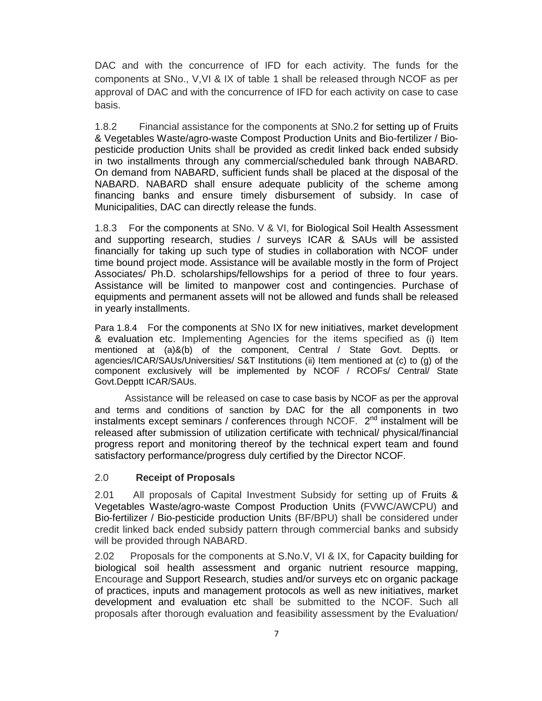DAC and with the concurrence of IFD for each activity. The funds for the components at SNo., V,VI & IX of table 1 shall be released through NCOF as per approval of DAC and with the concurrence of IFD for each activity on case to case basis.

1.8.2 Financial assistance for the components at SNo.2 for setting up of Fruits & Vegetables Waste/agro-waste Compost Production Units and Bio-fertilizer / Biopesticide production Units shall be provided as credit linked back ended subsidy in two installments through any commercial/scheduled bank through NABARD. On demand from NABARD, sufficient funds shall be placed at the disposal of the NABARD. NABARD shall ensure adequate publicity of the scheme among financing banks and ensure timely disbursement of subsidy. In case of Municipalities, DAC can directly release the funds.

1.8.3 For the components at SNo. V & VI, for Biological Soil Health Assessment and supporting research, studies / surveys ICAR & SAUs will be assisted financially for taking up such type of studies in collaboration with NCOF under time bound project mode. Assistance will be available mostly in the form of Project Associates/ Ph.D. scholarships/fellowships for a period of three to four years. Assistance will be limited to manpower cost and contingencies. Purchase of equipments and permanent assets will not be allowed and funds shall be released in yearly installments.

Para 1.8.4 For the components at SNo IX for new initiatives, market development & evaluation etc. Implementing Agencies for the items specified as (i) Item mentioned at (a)&(b) of the component, Central / State Govt. Deptts. or agencies/ICAR/SAUs/Universities/ S&T Institutions (ii) Item mentioned at (c) to (g) of the component exclusively will be implemented by NCOF / RCOFs/ Central/ State Govt.Depptt ICAR/SAUs.

Assistance will be released on case to case basis by NCOF as per the approval and terms and conditions of sanction by DAC for the all components in two instalments except seminars / conferences through NCOF. 2<sup>nd</sup> instalment will be released after submission of utilization certificate with technical/ physical/financial progress report and monitoring thereof by the technical expert team and found satisfactory performance/progress duly certified by the Director NCOF.

#### 2.0 **Receipt of Proposals**

2.01 All proposals of Capital Investment Subsidy for setting up of Fruits & Vegetables Waste/agro-waste Compost Production Units (FVWC/AWCPU) and Bio-fertilizer / Bio-pesticide production Units (BF/BPU) shall be considered under credit linked back ended subsidy pattern through commercial banks and subsidy will be provided through NABARD.

2.02 Proposals for the components at S.No.V, VI & IX, for Capacity building for biological soil health assessment and organic nutrient resource mapping, Encourage and Support Research, studies and/or surveys etc on organic package of practices, inputs and management protocols as well as new initiatives, market development and evaluation etc shall be submitted to the NCOF. Such all proposals after thorough evaluation and feasibility assessment by the Evaluation/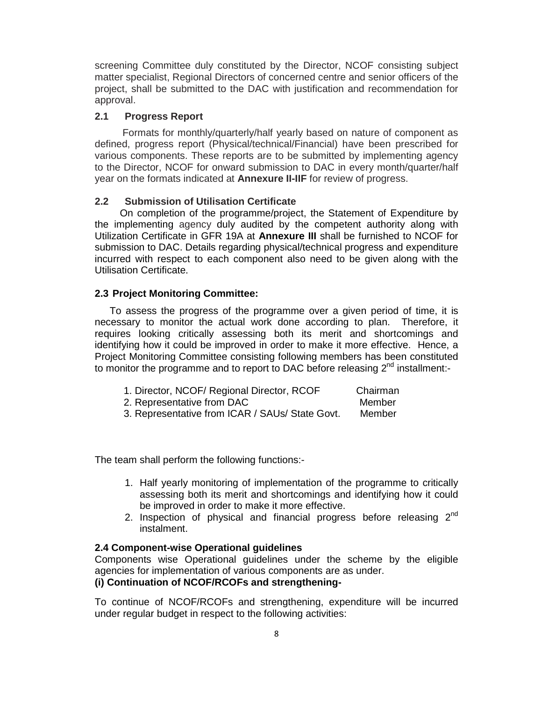screening Committee duly constituted by the Director, NCOF consisting subject matter specialist, Regional Directors of concerned centre and senior officers of the project, shall be submitted to the DAC with justification and recommendation for approval.

#### **2.1 Progress Report**

 Formats for monthly/quarterly/half yearly based on nature of component as defined, progress report (Physical/technical/Financial) have been prescribed for various components. These reports are to be submitted by implementing agency to the Director, NCOF for onward submission to DAC in every month/quarter/half year on the formats indicated at **Annexure II-IIF** for review of progress.

#### **2.2 Submission of Utilisation Certificate**

 On completion of the programme/project, the Statement of Expenditure by the implementing agency duly audited by the competent authority along with Utilization Certificate in GFR 19A at **Annexure III** shall be furnished to NCOF for submission to DAC. Details regarding physical/technical progress and expenditure incurred with respect to each component also need to be given along with the Utilisation Certificate.

#### **2.3 Project Monitoring Committee:**

To assess the progress of the programme over a given period of time, it is necessary to monitor the actual work done according to plan. Therefore, it requires looking critically assessing both its merit and shortcomings and identifying how it could be improved in order to make it more effective. Hence, a Project Monitoring Committee consisting following members has been constituted to monitor the programme and to report to DAC before releasing  $2^{nd}$  installment:-

| 1. Director, NCOF/ Regional Director, RCOF | Chairman |
|--------------------------------------------|----------|
| 2. Representative from DAC                 | Member   |

3. Representative from ICAR / SAUs/ State Govt. Member

The team shall perform the following functions:-

- 1. Half yearly monitoring of implementation of the programme to critically assessing both its merit and shortcomings and identifying how it could be improved in order to make it more effective.
- 2. Inspection of physical and financial progress before releasing  $2<sup>nd</sup>$ instalment.

#### **2.4 Component-wise Operational guidelines**

Components wise Operational guidelines under the scheme by the eligible agencies for implementation of various components are as under.

#### **(i) Continuation of NCOF/RCOFs and strengthening-**

To continue of NCOF/RCOFs and strengthening, expenditure will be incurred under regular budget in respect to the following activities: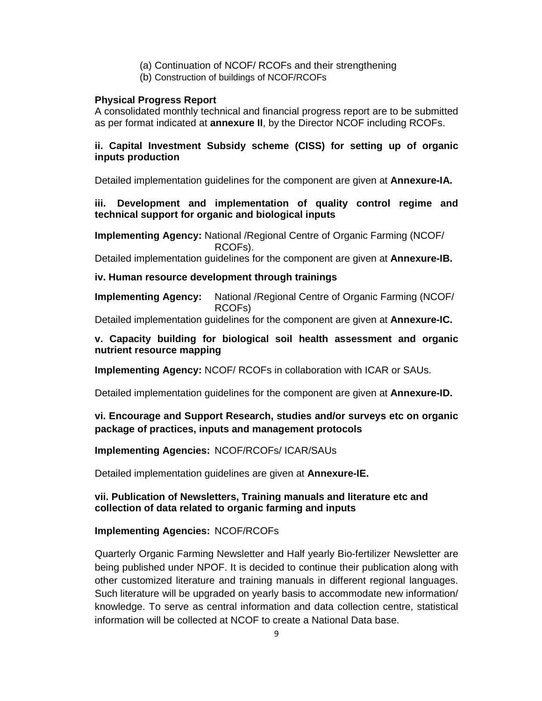- (a) Continuation of NCOF/ RCOFs and their strengthening
- (b) Construction of buildings of NCOF/RCOFs

#### **Physical Progress Report**

A consolidated monthly technical and financial progress report are to be submitted as per format indicated at **annexure II**, by the Director NCOF including RCOFs.

#### **ii. Capital Investment Subsidy scheme (CISS) for setting up of organic inputs production**

Detailed implementation guidelines for the component are given at **Annexure-IA.** 

#### **iii. Development and implementation of quality control regime and technical support for organic and biological inputs**

**Implementing Agency:** National /Regional Centre of Organic Farming (NCOF/ RCOFs).

Detailed implementation guidelines for the component are given at **Annexure-IB.** 

#### **iv. Human resource development through trainings**

**Implementing Agency:** National /Regional Centre of Organic Farming (NCOF/ RCOFs)

Detailed implementation guidelines for the component are given at **Annexure-IC.** 

#### **v. Capacity building for biological soil health assessment and organic nutrient resource mapping**

**Implementing Agency:** NCOF/ RCOFs in collaboration with ICAR or SAUs.

Detailed implementation guidelines for the component are given at **Annexure-ID.** 

#### **vi. Encourage and Support Research, studies and/or surveys etc on organic package of practices, inputs and management protocols**

#### **Implementing Agencies:** NCOF/RCOFs/ ICAR/SAUs

Detailed implementation guidelines are given at **Annexure-IE.** 

#### **vii. Publication of Newsletters, Training manuals and literature etc and collection of data related to organic farming and inputs**

#### **Implementing Agencies:** NCOF/RCOFs

Quarterly Organic Farming Newsletter and Half yearly Bio-fertilizer Newsletter are being published under NPOF. It is decided to continue their publication along with other customized literature and training manuals in different regional languages. Such literature will be upgraded on yearly basis to accommodate new information/ knowledge. To serve as central information and data collection centre, statistical information will be collected at NCOF to create a National Data base.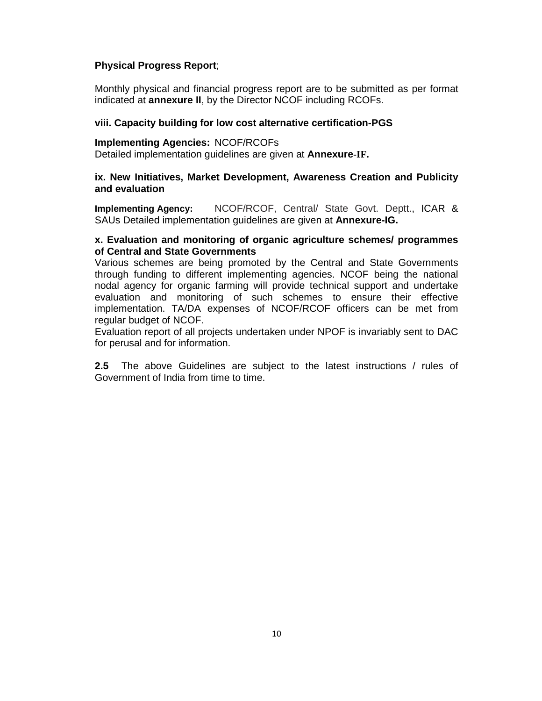#### **Physical Progress Report**;

Monthly physical and financial progress report are to be submitted as per format indicated at **annexure II**, by the Director NCOF including RCOFs.

#### **viii. Capacity building for low cost alternative certification-PGS**

#### **Implementing Agencies:** NCOF/RCOFs

Detailed implementation guidelines are given at **Annexure-IF.** 

#### **ix. New Initiatives, Market Development, Awareness Creation and Publicity and evaluation**

**Implementing Agency:** NCOF/RCOF, Central/ State Govt. Deptt., ICAR & SAUs Detailed implementation guidelines are given at **Annexure-IG.**

#### **x. Evaluation and monitoring of organic agriculture schemes/ programmes of Central and State Governments**

Various schemes are being promoted by the Central and State Governments through funding to different implementing agencies. NCOF being the national nodal agency for organic farming will provide technical support and undertake evaluation and monitoring of such schemes to ensure their effective implementation. TA/DA expenses of NCOF/RCOF officers can be met from regular budget of NCOF.

Evaluation report of all projects undertaken under NPOF is invariably sent to DAC for perusal and for information.

**2.5** The above Guidelines are subject to the latest instructions / rules of Government of India from time to time.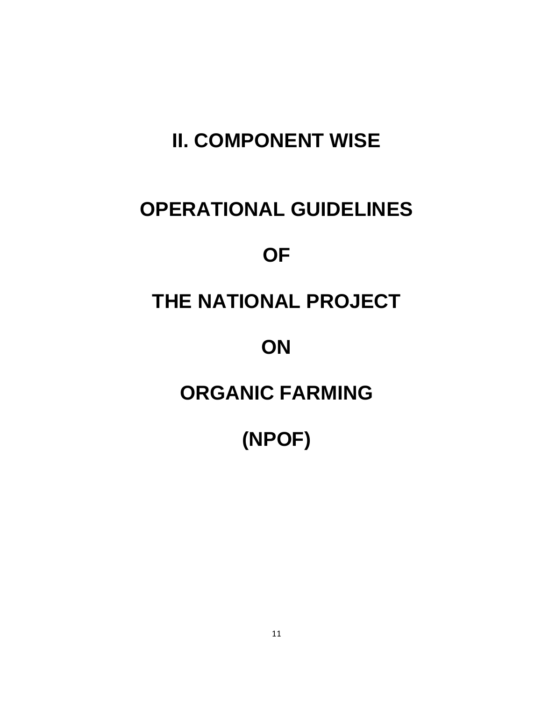# **II. COMPONENT WISE**

### **OPERATIONAL GUIDELINES**

### **OF**

### **THE NATIONAL PROJECT**

### **ON**

### **ORGANIC FARMING**

**(NPOF)**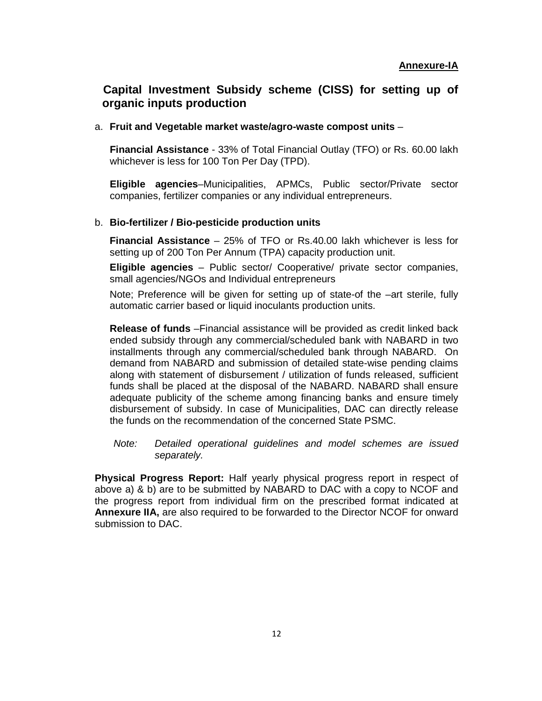#### **Capital Investment Subsidy scheme (CISS) for setting up of organic inputs production**

#### a. **Fruit and Vegetable market waste/agro-waste compost units** –

**Financial Assistance** - 33% of Total Financial Outlay (TFO) or Rs. 60.00 lakh whichever is less for 100 Ton Per Day (TPD).

**Eligible agencies**–Municipalities, APMCs, Public sector/Private sector companies, fertilizer companies or any individual entrepreneurs.

#### b. **Bio-fertilizer / Bio-pesticide production units**

**Financial Assistance** – 25% of TFO or Rs.40.00 lakh whichever is less for setting up of 200 Ton Per Annum (TPA) capacity production unit.

**Eligible agencies** – Public sector/ Cooperative/ private sector companies, small agencies/NGOs and Individual entrepreneurs

Note; Preference will be given for setting up of state-of the –art sterile, fully automatic carrier based or liquid inoculants production units.

**Release of funds** –Financial assistance will be provided as credit linked back ended subsidy through any commercial/scheduled bank with NABARD in two installments through any commercial/scheduled bank through NABARD. On demand from NABARD and submission of detailed state-wise pending claims along with statement of disbursement / utilization of funds released, sufficient funds shall be placed at the disposal of the NABARD. NABARD shall ensure adequate publicity of the scheme among financing banks and ensure timely disbursement of subsidy. In case of Municipalities, DAC can directly release the funds on the recommendation of the concerned State PSMC.

Note: Detailed operational guidelines and model schemes are issued separately.

**Physical Progress Report:** Half yearly physical progress report in respect of above a) & b) are to be submitted by NABARD to DAC with a copy to NCOF and the progress report from individual firm on the prescribed format indicated at **Annexure IIA,** are also required to be forwarded to the Director NCOF for onward submission to DAC.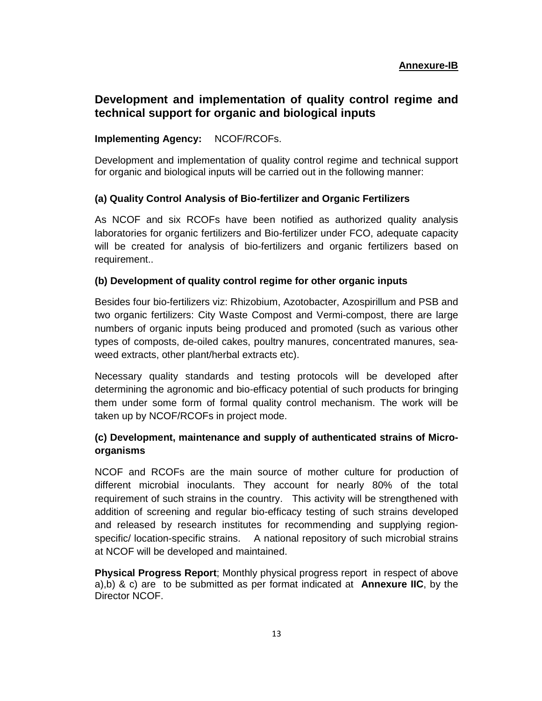#### **Development and implementation of quality control regime and technical support for organic and biological inputs**

#### **Implementing Agency:** NCOF/RCOFs.

Development and implementation of quality control regime and technical support for organic and biological inputs will be carried out in the following manner:

#### **(a) Quality Control Analysis of Bio-fertilizer and Organic Fertilizers**

As NCOF and six RCOFs have been notified as authorized quality analysis laboratories for organic fertilizers and Bio-fertilizer under FCO, adequate capacity will be created for analysis of bio-fertilizers and organic fertilizers based on requirement..

#### **(b) Development of quality control regime for other organic inputs**

Besides four bio-fertilizers viz: Rhizobium, Azotobacter, Azospirillum and PSB and two organic fertilizers: City Waste Compost and Vermi-compost, there are large numbers of organic inputs being produced and promoted (such as various other types of composts, de-oiled cakes, poultry manures, concentrated manures, seaweed extracts, other plant/herbal extracts etc).

Necessary quality standards and testing protocols will be developed after determining the agronomic and bio-efficacy potential of such products for bringing them under some form of formal quality control mechanism. The work will be taken up by NCOF/RCOFs in project mode.

#### **(c) Development, maintenance and supply of authenticated strains of Microorganisms**

NCOF and RCOFs are the main source of mother culture for production of different microbial inoculants. They account for nearly 80% of the total requirement of such strains in the country. This activity will be strengthened with addition of screening and regular bio-efficacy testing of such strains developed and released by research institutes for recommending and supplying regionspecific/ location-specific strains. A national repository of such microbial strains at NCOF will be developed and maintained.

**Physical Progress Report**; Monthly physical progress report in respect of above a),b) & c) are to be submitted as per format indicated at **Annexure IIC**, by the Director NCOF.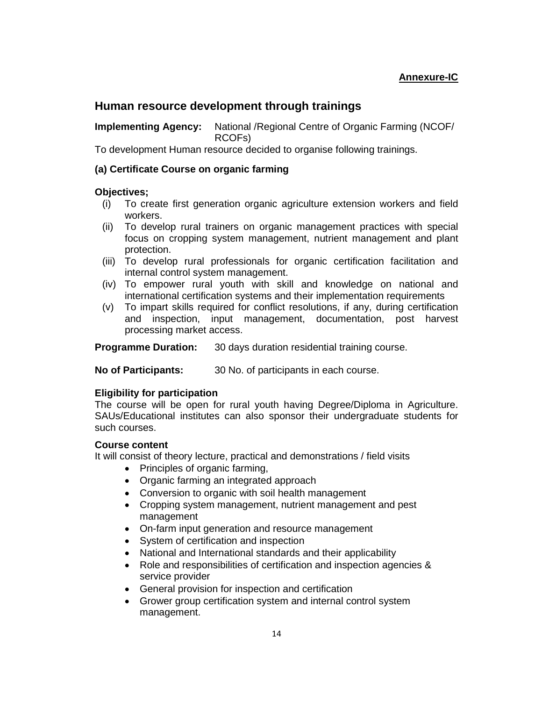#### **Annexure-IC**

#### **Human resource development through trainings**

**Implementing Agency:** National /Regional Centre of Organic Farming (NCOF/ RCOFs)

To development Human resource decided to organise following trainings.

#### **(a) Certificate Course on organic farming**

#### **Objectives;**

- (i) To create first generation organic agriculture extension workers and field workers.
- (ii) To develop rural trainers on organic management practices with special focus on cropping system management, nutrient management and plant protection.
- (iii) To develop rural professionals for organic certification facilitation and internal control system management.
- (iv) To empower rural youth with skill and knowledge on national and international certification systems and their implementation requirements
- (v) To impart skills required for conflict resolutions, if any, during certification and inspection, input management, documentation, post harvest processing market access.

**Programme Duration:** 30 days duration residential training course.

**No of Participants:** 30 No. of participants in each course.

#### **Eligibility for participation**

The course will be open for rural youth having Degree/Diploma in Agriculture. SAUs/Educational institutes can also sponsor their undergraduate students for such courses.

#### **Course content**

It will consist of theory lecture, practical and demonstrations / field visits

- Principles of organic farming,
- Organic farming an integrated approach
- Conversion to organic with soil health management
- Cropping system management, nutrient management and pest management
- On-farm input generation and resource management
- System of certification and inspection
- National and International standards and their applicability
- Role and responsibilities of certification and inspection agencies & service provider
- General provision for inspection and certification
- Grower group certification system and internal control system management.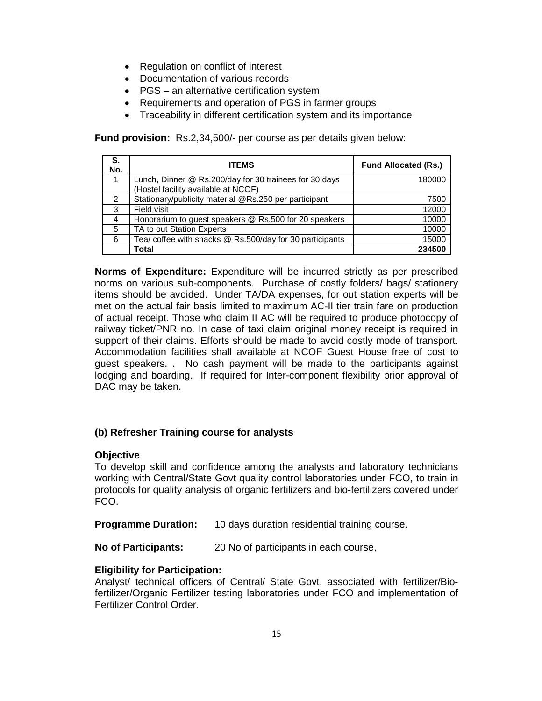- Regulation on conflict of interest
- Documentation of various records
- PGS an alternative certification system
- Requirements and operation of PGS in farmer groups
- Traceability in different certification system and its importance

**Fund provision:** Rs.2,34,500/- per course as per details given below:

| S.<br>No.     | <b>ITEMS</b>                                             | <b>Fund Allocated (Rs.)</b> |
|---------------|----------------------------------------------------------|-----------------------------|
|               | Lunch, Dinner @ Rs.200/day for 30 trainees for 30 days   | 180000                      |
|               | (Hostel facility available at NCOF)                      |                             |
| $\mathcal{P}$ | Stationary/publicity material @Rs.250 per participant    | 7500                        |
| 3             | Field visit                                              | 12000                       |
| 4             | Honorarium to guest speakers @ Rs.500 for 20 speakers    | 10000                       |
| 5             | TA to out Station Experts                                | 10000                       |
| 6             | Tea/ coffee with snacks @ Rs.500/day for 30 participants | 15000                       |
|               | Total                                                    | 234500                      |

**Norms of Expenditure:** Expenditure will be incurred strictly as per prescribed norms on various sub-components. Purchase of costly folders/ bags/ stationery items should be avoided. Under TA/DA expenses, for out station experts will be met on the actual fair basis limited to maximum AC-II tier train fare on production of actual receipt. Those who claim II AC will be required to produce photocopy of railway ticket/PNR no. In case of taxi claim original money receipt is required in support of their claims. Efforts should be made to avoid costly mode of transport. Accommodation facilities shall available at NCOF Guest House free of cost to guest speakers. . No cash payment will be made to the participants against lodging and boarding. If required for Inter-component flexibility prior approval of DAC may be taken.

#### **(b) Refresher Training course for analysts**

#### **Objective**

To develop skill and confidence among the analysts and laboratory technicians working with Central/State Govt quality control laboratories under FCO, to train in protocols for quality analysis of organic fertilizers and bio-fertilizers covered under FCO.

**Programme Duration:** 10 days duration residential training course.

**No of Participants:** 20 No of participants in each course,

#### **Eligibility for Participation:**

Analyst/ technical officers of Central/ State Govt. associated with fertilizer/Biofertilizer/Organic Fertilizer testing laboratories under FCO and implementation of Fertilizer Control Order.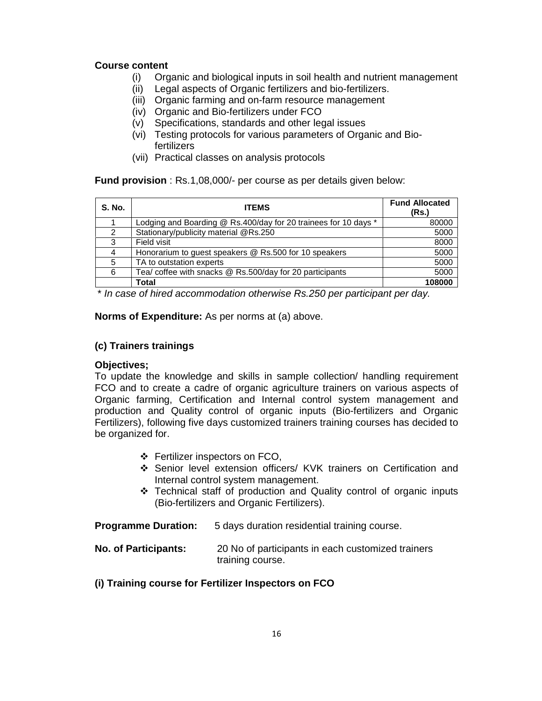#### **Course content**

- (i) Organic and biological inputs in soil health and nutrient management
- (ii) Legal aspects of Organic fertilizers and bio-fertilizers.
- (iii) Organic farming and on-farm resource management
- (iv) Organic and Bio-fertilizers under FCO
- (v) Specifications, standards and other legal issues
- (vi) Testing protocols for various parameters of Organic and Biofertilizers
- (vii) Practical classes on analysis protocols

**Fund provision** : Rs.1,08,000/- per course as per details given below:

| S. No. | <b>ITEMS</b>                                                    | <b>Fund Allocated</b><br>(Rs.) |
|--------|-----------------------------------------------------------------|--------------------------------|
|        | Lodging and Boarding @ Rs.400/day for 20 trainees for 10 days * | 80000                          |
| 2      | Stationary/publicity material @Rs.250                           | 5000                           |
| 3      | Field visit                                                     | 8000                           |
|        | Honorarium to guest speakers @ Rs.500 for 10 speakers           | 5000                           |
| 5      | TA to outstation experts                                        | 5000                           |
| 6      | Tea/ coffee with snacks @ Rs.500/day for 20 participants        | 5000                           |
|        | Total                                                           | 108000                         |

\* In case of hired accommodation otherwise Rs.250 per participant per day.

**Norms of Expenditure:** As per norms at (a) above.

#### **(c) Trainers trainings**

#### **Objectives;**

To update the knowledge and skills in sample collection/ handling requirement FCO and to create a cadre of organic agriculture trainers on various aspects of Organic farming, Certification and Internal control system management and production and Quality control of organic inputs (Bio-fertilizers and Organic Fertilizers), following five days customized trainers training courses has decided to be organized for.

- ❖ Fertilizer inspectors on FCO,
- Senior level extension officers/ KVK trainers on Certification and Internal control system management.
- Technical staff of production and Quality control of organic inputs (Bio-fertilizers and Organic Fertilizers).

**Programme Duration:** 5 days duration residential training course.

**No. of Participants:** 20 No of participants in each customized trainers training course.

#### **(i) Training course for Fertilizer Inspectors on FCO**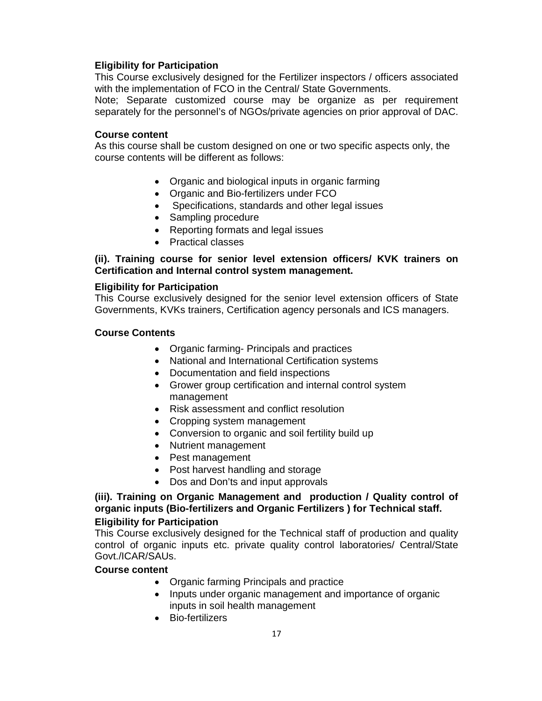#### **Eligibility for Participation**

This Course exclusively designed for the Fertilizer inspectors / officers associated with the implementation of FCO in the Central/ State Governments.

Note; Separate customized course may be organize as per requirement separately for the personnel's of NGOs/private agencies on prior approval of DAC.

#### **Course content**

As this course shall be custom designed on one or two specific aspects only, the course contents will be different as follows:

- Organic and biological inputs in organic farming
- Organic and Bio-fertilizers under FCO
- Specifications, standards and other legal issues
- Sampling procedure
- Reporting formats and legal issues
- Practical classes

#### **(ii). Training course for senior level extension officers/ KVK trainers on Certification and Internal control system management.**

#### **Eligibility for Participation**

This Course exclusively designed for the senior level extension officers of State Governments, KVKs trainers, Certification agency personals and ICS managers.

#### **Course Contents**

- Organic farming- Principals and practices
- National and International Certification systems
- Documentation and field inspections
- Grower group certification and internal control system management
- Risk assessment and conflict resolution
- Cropping system management
- Conversion to organic and soil fertility build up
- Nutrient management
- Pest management
- Post harvest handling and storage
- Dos and Don'ts and input approvals

#### **(iii). Training on Organic Management and production / Quality control of organic inputs (Bio-fertilizers and Organic Fertilizers ) for Technical staff. Eligibility for Participation**

This Course exclusively designed for the Technical staff of production and quality control of organic inputs etc. private quality control laboratories/ Central/State Govt./ICAR/SAUs.

#### **Course content**

- Organic farming Principals and practice
- Inputs under organic management and importance of organic inputs in soil health management
- Bio-fertilizers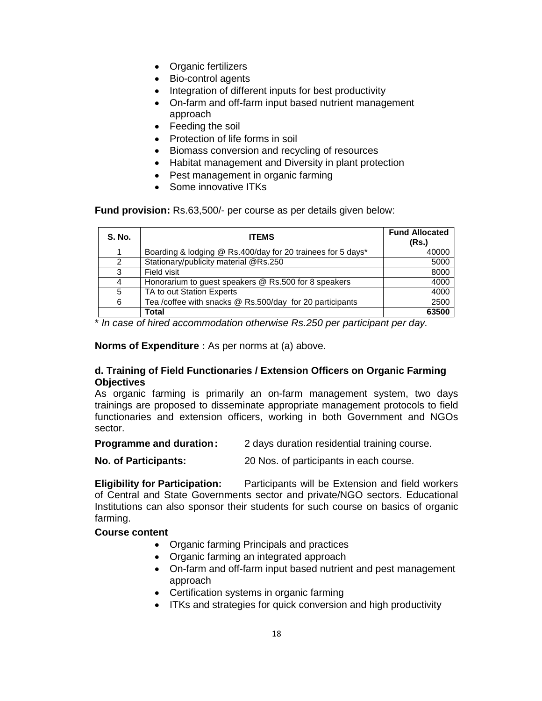- Organic fertilizers
- Bio-control agents
- Integration of different inputs for best productivity
- On-farm and off-farm input based nutrient management approach
- Feeding the soil
- Protection of life forms in soil
- Biomass conversion and recycling of resources
- Habitat management and Diversity in plant protection
- Pest management in organic farming
- Some innovative ITKs

**Fund provision:** Rs.63,500/- per course as per details given below:

| <b>S. No.</b> | <b>ITEMS</b>                                                | <b>Fund Allocated</b><br>(Rs.) |
|---------------|-------------------------------------------------------------|--------------------------------|
|               | Boarding & lodging @ Rs.400/day for 20 trainees for 5 days* | 40000                          |
| 2             | Stationary/publicity material @Rs.250                       | 5000                           |
| 3             | Field visit                                                 | 8000                           |
| 4             | Honorarium to guest speakers @ Rs.500 for 8 speakers        | 4000                           |
| 5             | TA to out Station Experts                                   | 4000                           |
| 6             | Tea /coffee with snacks @ Rs.500/day for 20 participants    | 2500                           |
|               | Total                                                       | 63500                          |

\* In case of hired accommodation otherwise Rs.250 per participant per day.

**Norms of Expenditure :** As per norms at (a) above.

#### **d. Training of Field Functionaries / Extension Officers on Organic Farming Objectives**

As organic farming is primarily an on-farm management system, two days trainings are proposed to disseminate appropriate management protocols to field functionaries and extension officers, working in both Government and NGOs sector.

| <b>Programme and duration:</b> | 2 days duration residential training course. |
|--------------------------------|----------------------------------------------|
|--------------------------------|----------------------------------------------|

**No. of Participants:** 20 Nos. of participants in each course.

**Eligibility for Participation:** Participants will be Extension and field workers of Central and State Governments sector and private/NGO sectors. Educational Institutions can also sponsor their students for such course on basics of organic farming.

#### **Course content**

- Organic farming Principals and practices
- Organic farming an integrated approach
- On-farm and off-farm input based nutrient and pest management approach
- Certification systems in organic farming
- ITKs and strategies for quick conversion and high productivity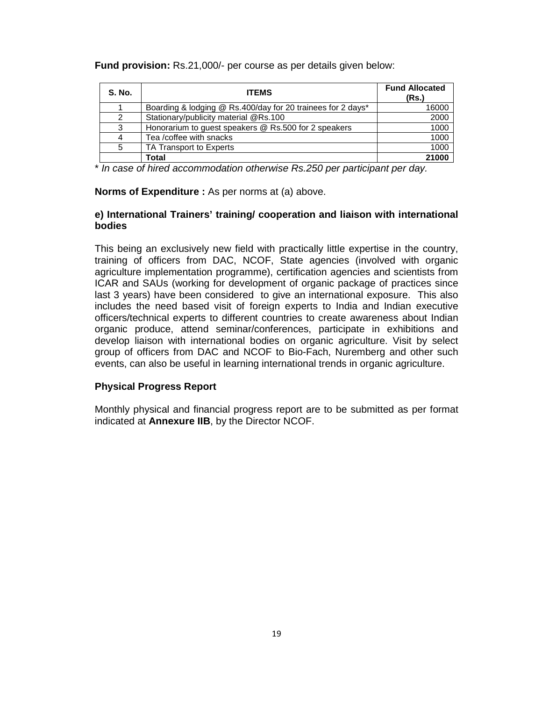|  |  |  | Fund provision: Rs.21,000/- per course as per details given below: |  |
|--|--|--|--------------------------------------------------------------------|--|
|--|--|--|--------------------------------------------------------------------|--|

| <b>S. No.</b> | <b>ITEMS</b>                                                | <b>Fund Allocated</b><br>(Rs.) |
|---------------|-------------------------------------------------------------|--------------------------------|
|               | Boarding & lodging @ Rs.400/day for 20 trainees for 2 days* | 16000                          |
| 2             | Stationary/publicity material @Rs.100                       | 2000                           |
| 3             | Honorarium to guest speakers @ Rs.500 for 2 speakers        | 1000                           |
|               | Tea /coffee with snacks                                     | 1000                           |
| 5             | TA Transport to Experts                                     | 1000                           |
|               | Total                                                       | 21000                          |

\* In case of hired accommodation otherwise Rs.250 per participant per day.

#### **Norms of Expenditure :** As per norms at (a) above.

#### **e) International Trainers' training/ cooperation and liaison with international bodies**

This being an exclusively new field with practically little expertise in the country, training of officers from DAC, NCOF, State agencies (involved with organic agriculture implementation programme), certification agencies and scientists from ICAR and SAUs (working for development of organic package of practices since last 3 years) have been considered to give an international exposure. This also includes the need based visit of foreign experts to India and Indian executive officers/technical experts to different countries to create awareness about Indian organic produce, attend seminar/conferences, participate in exhibitions and develop liaison with international bodies on organic agriculture. Visit by select group of officers from DAC and NCOF to Bio-Fach, Nuremberg and other such events, can also be useful in learning international trends in organic agriculture.

#### **Physical Progress Report**

Monthly physical and financial progress report are to be submitted as per format indicated at **Annexure IIB**, by the Director NCOF.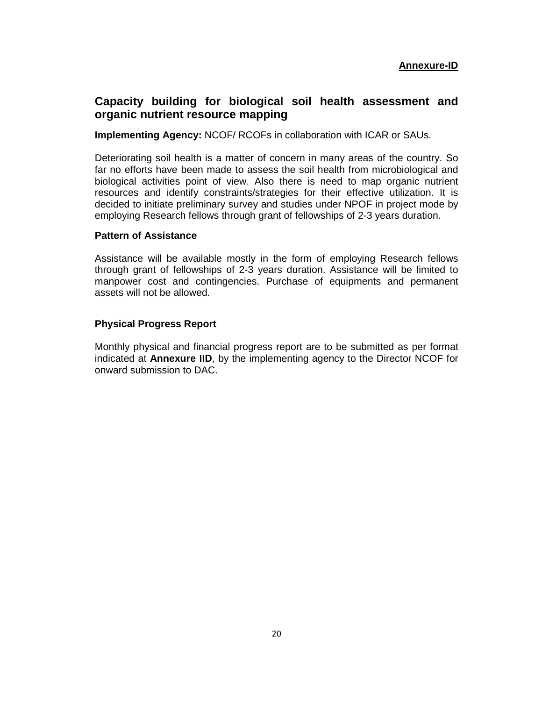#### **Capacity building for biological soil health assessment and organic nutrient resource mapping**

**Implementing Agency:** NCOF/ RCOFs in collaboration with ICAR or SAUs.

Deteriorating soil health is a matter of concern in many areas of the country. So far no efforts have been made to assess the soil health from microbiological and biological activities point of view. Also there is need to map organic nutrient resources and identify constraints/strategies for their effective utilization. It is decided to initiate preliminary survey and studies under NPOF in project mode by employing Research fellows through grant of fellowships of 2-3 years duration.

#### **Pattern of Assistance**

Assistance will be available mostly in the form of employing Research fellows through grant of fellowships of 2-3 years duration. Assistance will be limited to manpower cost and contingencies. Purchase of equipments and permanent assets will not be allowed.

#### **Physical Progress Report**

Monthly physical and financial progress report are to be submitted as per format indicated at **Annexure IID**, by the implementing agency to the Director NCOF for onward submission to DAC.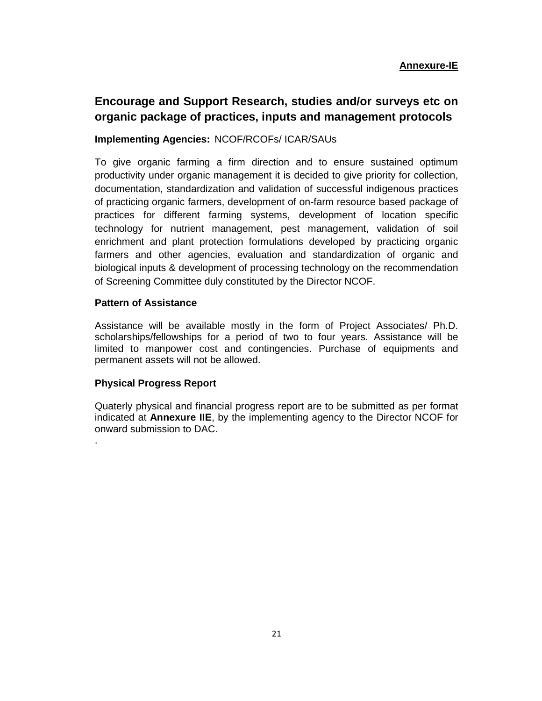#### **Encourage and Support Research, studies and/or surveys etc on organic package of practices, inputs and management protocols**

#### **Implementing Agencies:** NCOF/RCOFs/ ICAR/SAUs

To give organic farming a firm direction and to ensure sustained optimum productivity under organic management it is decided to give priority for collection, documentation, standardization and validation of successful indigenous practices of practicing organic farmers, development of on-farm resource based package of practices for different farming systems, development of location specific technology for nutrient management, pest management, validation of soil enrichment and plant protection formulations developed by practicing organic farmers and other agencies, evaluation and standardization of organic and biological inputs & development of processing technology on the recommendation of Screening Committee duly constituted by the Director NCOF.

#### **Pattern of Assistance**

Assistance will be available mostly in the form of Project Associates/ Ph.D. scholarships/fellowships for a period of two to four years. Assistance will be limited to manpower cost and contingencies. Purchase of equipments and permanent assets will not be allowed.

#### **Physical Progress Report**

.

Quaterly physical and financial progress report are to be submitted as per format indicated at **Annexure IIE**, by the implementing agency to the Director NCOF for onward submission to DAC.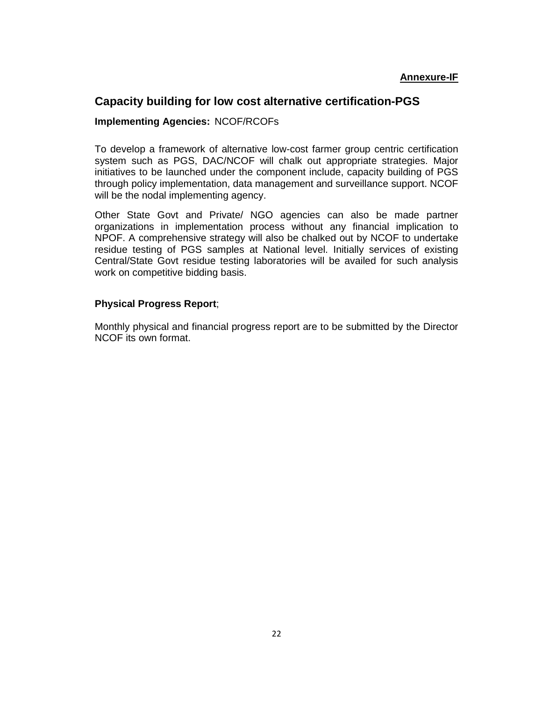#### **Capacity building for low cost alternative certification-PGS**

#### **Implementing Agencies:** NCOF/RCOFs

To develop a framework of alternative low-cost farmer group centric certification system such as PGS, DAC/NCOF will chalk out appropriate strategies. Major initiatives to be launched under the component include, capacity building of PGS through policy implementation, data management and surveillance support. NCOF will be the nodal implementing agency.

Other State Govt and Private/ NGO agencies can also be made partner organizations in implementation process without any financial implication to NPOF. A comprehensive strategy will also be chalked out by NCOF to undertake residue testing of PGS samples at National level. Initially services of existing Central/State Govt residue testing laboratories will be availed for such analysis work on competitive bidding basis.

#### **Physical Progress Report**;

Monthly physical and financial progress report are to be submitted by the Director NCOF its own format.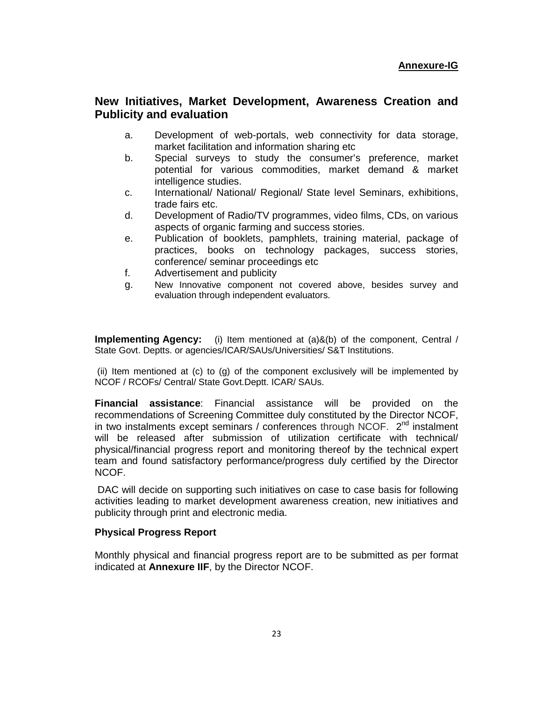#### **New Initiatives, Market Development, Awareness Creation and Publicity and evaluation**

- a. Development of web-portals, web connectivity for data storage, market facilitation and information sharing etc
- b. Special surveys to study the consumer's preference, market potential for various commodities, market demand & market intelligence studies.
- c. International/ National/ Regional/ State level Seminars, exhibitions, trade fairs etc.
- d. Development of Radio/TV programmes, video films, CDs, on various aspects of organic farming and success stories.
- e. Publication of booklets, pamphlets, training material, package of practices, books on technology packages, success stories, conference/ seminar proceedings etc
- f. Advertisement and publicity
- g. New Innovative component not covered above, besides survey and evaluation through independent evaluators.

**Implementing Agency:** (i) Item mentioned at (a)&(b) of the component, Central / State Govt. Deptts. or agencies/ICAR/SAUs/Universities/ S&T Institutions.

 (ii) Item mentioned at (c) to (g) of the component exclusively will be implemented by NCOF / RCOFs/ Central/ State Govt.Deptt. ICAR/ SAUs.

**Financial assistance**: Financial assistance will be provided on the recommendations of Screening Committee duly constituted by the Director NCOF, in two instalments except seminars / conferences through NCOF.  $2^{nd}$  instalment will be released after submission of utilization certificate with technical/ physical/financial progress report and monitoring thereof by the technical expert team and found satisfactory performance/progress duly certified by the Director NCOF.

 DAC will decide on supporting such initiatives on case to case basis for following activities leading to market development awareness creation, new initiatives and publicity through print and electronic media.

#### **Physical Progress Report**

Monthly physical and financial progress report are to be submitted as per format indicated at **Annexure IIF**, by the Director NCOF.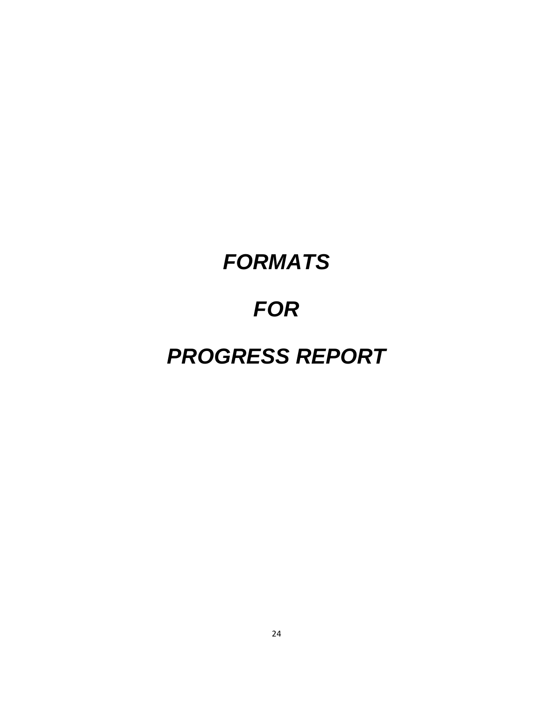# **FORMATS**

# **FOR**

# **PROGRESS REPORT**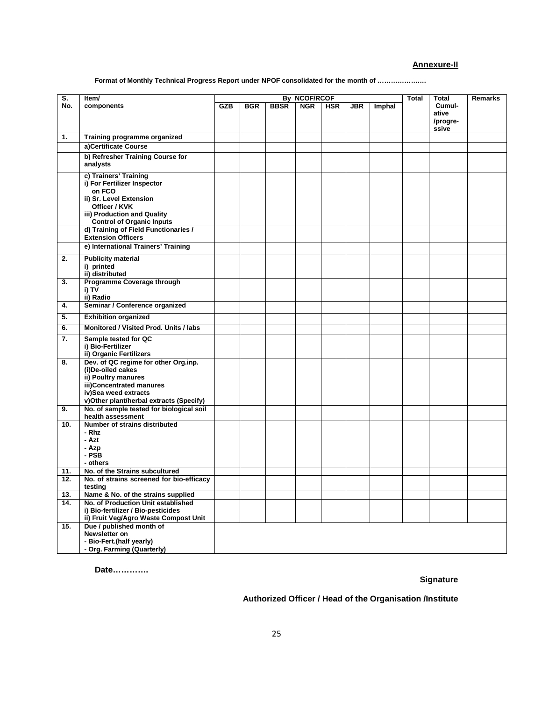#### **Annexure-II**

**Format of Monthly Technical Progress Report under NPOF consolidated for the month of ………………….** 

| S.  |                                                                                                                                                                                 | By NCOF/RCOF<br><b>Total</b><br>Total |            |             |            |            |     |        |                            |         |
|-----|---------------------------------------------------------------------------------------------------------------------------------------------------------------------------------|---------------------------------------|------------|-------------|------------|------------|-----|--------|----------------------------|---------|
| No. | Item/<br>components                                                                                                                                                             | <b>GZB</b>                            | <b>BGR</b> | <b>BBSR</b> | <b>NGR</b> | <b>HSR</b> | JBR | Imphal | Cumul-                     | Remarks |
|     |                                                                                                                                                                                 |                                       |            |             |            |            |     |        | ative<br>/progre-<br>ssive |         |
| 1.  | Training programme organized                                                                                                                                                    |                                       |            |             |            |            |     |        |                            |         |
|     | a)Certificate Course                                                                                                                                                            |                                       |            |             |            |            |     |        |                            |         |
|     | b) Refresher Training Course for<br>analysts                                                                                                                                    |                                       |            |             |            |            |     |        |                            |         |
|     | c) Trainers' Training<br>i) For Fertilizer Inspector<br>on FCO<br>ii) Sr. Level Extension<br>Officer / KVK<br>iii) Production and Quality<br><b>Control of Organic Inputs</b>   |                                       |            |             |            |            |     |        |                            |         |
|     | d) Training of Field Functionaries /<br><b>Extension Officers</b>                                                                                                               |                                       |            |             |            |            |     |        |                            |         |
|     | e) International Trainers' Training                                                                                                                                             |                                       |            |             |            |            |     |        |                            |         |
| 2.  | <b>Publicity material</b><br>i) printed<br>ii) distributed                                                                                                                      |                                       |            |             |            |            |     |        |                            |         |
| 3.  | Programme Coverage through<br>i) TV<br>ii) Radio                                                                                                                                |                                       |            |             |            |            |     |        |                            |         |
| 4.  | Seminar / Conference organized                                                                                                                                                  |                                       |            |             |            |            |     |        |                            |         |
| 5.  | <b>Exhibition organized</b>                                                                                                                                                     |                                       |            |             |            |            |     |        |                            |         |
| 6.  | Monitored / Visited Prod. Units / labs                                                                                                                                          |                                       |            |             |            |            |     |        |                            |         |
|     |                                                                                                                                                                                 |                                       |            |             |            |            |     |        |                            |         |
| 7.  | Sample tested for QC<br>i) Bio-Fertilizer<br>ii) Organic Fertilizers                                                                                                            |                                       |            |             |            |            |     |        |                            |         |
| 8.  | Dev. of QC regime for other Org.inp.<br>(i)De-oiled cakes<br>ii) Poultry manures<br>iii)Concentrated manures<br>iv)Sea weed extracts<br>v)Other plant/herbal extracts (Specify) |                                       |            |             |            |            |     |        |                            |         |
| 9.  | No. of sample tested for biological soil<br>health assessment                                                                                                                   |                                       |            |             |            |            |     |        |                            |         |
| 10. | Number of strains distributed<br>- Rhz<br>- Azt<br>- Azp<br>- PSB<br>- others                                                                                                   |                                       |            |             |            |            |     |        |                            |         |
| 11. | No. of the Strains subcultured                                                                                                                                                  |                                       |            |             |            |            |     |        |                            |         |
| 12. | No. of strains screened for bio-efficacy<br>testing                                                                                                                             |                                       |            |             |            |            |     |        |                            |         |
| 13. | Name & No. of the strains supplied                                                                                                                                              |                                       |            |             |            |            |     |        |                            |         |
| 14. | No. of Production Unit established<br>i) Bio-fertilizer / Bio-pesticides<br>ii) Fruit Veg/Agro Waste Compost Unit                                                               |                                       |            |             |            |            |     |        |                            |         |
| 15. | Due / published month of<br>Newsletter on<br>- Bio-Fert.(half yearly)<br>- Org. Farming (Quarterly)                                                                             |                                       |            |             |            |            |     |        |                            |         |

**Date………….** 

#### **Signature**

#### **Authorized Officer / Head of the Organisation /Institute**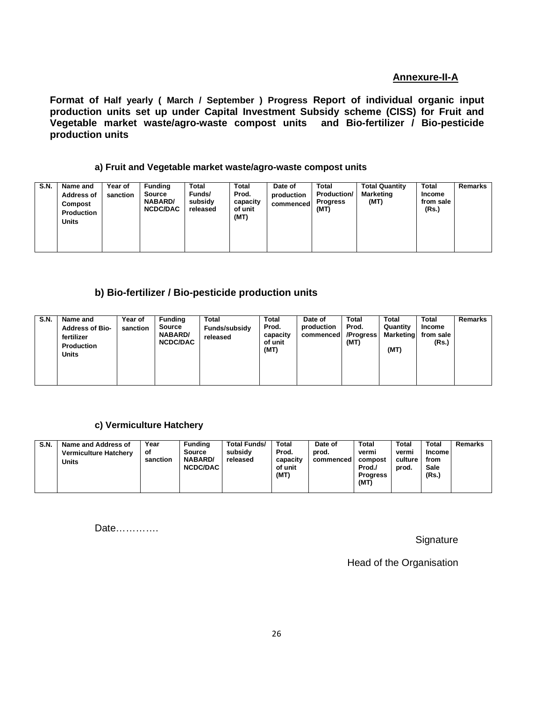#### **Annexure-II-A**

**Format of Half yearly ( March / September ) Progress Report of individual organic input production units set up under Capital Investment Subsidy scheme (CISS) for Fruit and Vegetable market waste/agro-waste compost units and Bio-fertilizer / Bio-pesticide production units**

#### **a) Fruit and Vegetable market waste/agro-waste compost units**

| <b>S.N.</b> | Name and<br><b>Address of</b><br>Compost<br><b>Production</b><br><b>Units</b> | Year of<br>sanction | <b>Funding</b><br>Source<br><b>NABARD/</b><br><b>NCDC/DAC</b> | Total<br>Funds/<br>subsidy<br>released | Total<br>Prod.<br>capacity<br>of unit<br>(MT) | Date of<br>production<br>commenced | <b>Total</b><br><b>Production/</b><br><b>Progress</b><br>(MT) | <b>Total Quantity</b><br><b>Marketing</b><br>(MT) | <b>Total</b><br>Income<br>from sale<br>(Rs.) | <b>Remarks</b> |
|-------------|-------------------------------------------------------------------------------|---------------------|---------------------------------------------------------------|----------------------------------------|-----------------------------------------------|------------------------------------|---------------------------------------------------------------|---------------------------------------------------|----------------------------------------------|----------------|
|-------------|-------------------------------------------------------------------------------|---------------------|---------------------------------------------------------------|----------------------------------------|-----------------------------------------------|------------------------------------|---------------------------------------------------------------|---------------------------------------------------|----------------------------------------------|----------------|

#### **b) Bio-fertilizer / Bio-pesticide production units**

| <b>S.N.</b><br><b>Funding</b><br>Total<br><b>Total</b><br>Total<br><b>Total</b><br>Total<br>Year of<br>Name and<br>Date of<br>Prod.<br>Prod.<br>Quantity<br>production<br>Source<br>Funds/subsidy<br>sanction<br><b>Address of Bio-</b><br>NABARD/<br>Marketing<br>capacity<br>/Progress<br>commenced<br>fertilizer<br>released<br><b>NCDC/DAC</b><br>of unit<br>(MT)<br><b>Production</b><br>(MT)<br>(MT)<br><b>Units</b> | Remarks<br>Income<br>from sale<br>(Rs.) |
|----------------------------------------------------------------------------------------------------------------------------------------------------------------------------------------------------------------------------------------------------------------------------------------------------------------------------------------------------------------------------------------------------------------------------|-----------------------------------------|
|----------------------------------------------------------------------------------------------------------------------------------------------------------------------------------------------------------------------------------------------------------------------------------------------------------------------------------------------------------------------------------------------------------------------------|-----------------------------------------|

#### **c) Vermiculture Hatchery**

| <b>S.N.</b> | Name and Address of<br><b>Vermiculture Hatchery</b><br>Units | Year<br>оf<br>sanction | <b>Funding</b><br><b>Source</b><br><b>NABARD/</b><br><b>NCDC/DAC</b> | <b>Total Funds/</b><br>subsidy<br>released | <b>Total</b><br>Prod.<br>capacity<br>of unit<br>(MT) | Date of<br>prod.<br>commenced | <b>Total</b><br>vermi<br>compost<br>Prod./<br><b>Progress</b><br>(MT) | <b>Total</b><br>vermi<br>culture<br>prod. | <b>Total</b><br>Income<br>from<br>Sale<br>(Rs.) | Remarks |
|-------------|--------------------------------------------------------------|------------------------|----------------------------------------------------------------------|--------------------------------------------|------------------------------------------------------|-------------------------------|-----------------------------------------------------------------------|-------------------------------------------|-------------------------------------------------|---------|
|-------------|--------------------------------------------------------------|------------------------|----------------------------------------------------------------------|--------------------------------------------|------------------------------------------------------|-------------------------------|-----------------------------------------------------------------------|-------------------------------------------|-------------------------------------------------|---------|

Date………….

**Signature** 

Head of the Organisation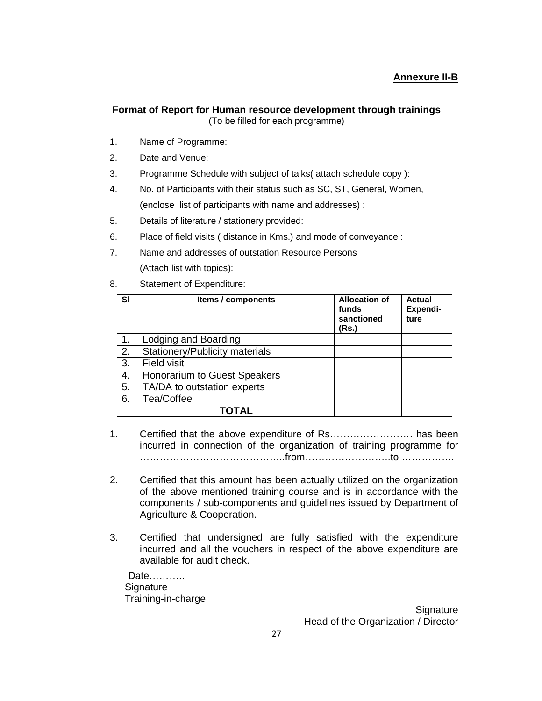#### **Format of Report for Human resource development through trainings**  (To be filled for each programme)

- 1. Name of Programme:
- 2. Date and Venue:
- 3. Programme Schedule with subject of talks( attach schedule copy ):
- 4. No. of Participants with their status such as SC, ST, General, Women, (enclose list of participants with name and addresses) :
- 5. Details of literature / stationery provided:
- 6. Place of field visits ( distance in Kms.) and mode of conveyance :
- 7. Name and addresses of outstation Resource Persons (Attach list with topics):
- 8. Statement of Expenditure:

| <b>SI</b> | Items / components             | <b>Allocation of</b><br>funds<br>sanctioned<br>(Rs.) | <b>Actual</b><br>Expendi-<br>ture |
|-----------|--------------------------------|------------------------------------------------------|-----------------------------------|
|           | Lodging and Boarding           |                                                      |                                   |
| 2.        | Stationery/Publicity materials |                                                      |                                   |
| 3.        | <b>Field visit</b>             |                                                      |                                   |
| 4.        | Honorarium to Guest Speakers   |                                                      |                                   |
| 5.        | TA/DA to outstation experts    |                                                      |                                   |
| 6.        | Tea/Coffee                     |                                                      |                                   |
|           | TOTAL                          |                                                      |                                   |

- 1. Certified that the above expenditure of Rs……………………. has been incurred in connection of the organization of training programme for ……………………………………..from……………………..to …………….
- 2. Certified that this amount has been actually utilized on the organization of the above mentioned training course and is in accordance with the components / sub-components and guidelines issued by Department of Agriculture & Cooperation.
- 3. Certified that undersigned are fully satisfied with the expenditure incurred and all the vouchers in respect of the above expenditure are available for audit check.

 Date……….. Signature Training-in-charge

**Signature** Head of the Organization / Director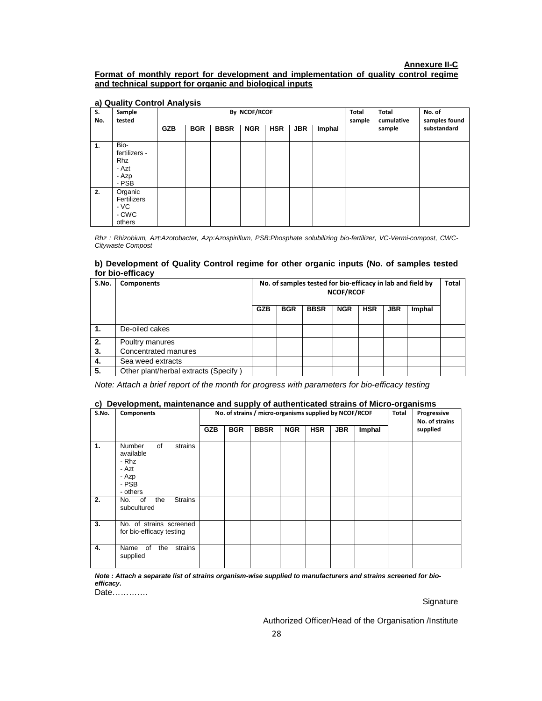#### **Annexure II-C**

#### **Format of monthly report for development and implementation of quality control regime and technical support for organic and biological inputs**

| S.<br>No. | Sample<br>tested                                               | By NCOF/RCOF |            |             |            |            |            |        |  | <b>Total</b><br>cumulative | No. of<br>samples found |
|-----------|----------------------------------------------------------------|--------------|------------|-------------|------------|------------|------------|--------|--|----------------------------|-------------------------|
|           |                                                                | <b>GZB</b>   | <b>BGR</b> | <b>BBSR</b> | <b>NGR</b> | <b>HSR</b> | <b>JBR</b> | Imphal |  | sample                     | substandard             |
| 1.        | Bio-<br>fertilizers -<br><b>Rhz</b><br>- Azt<br>- Azp<br>- PSB |              |            |             |            |            |            |        |  |                            |                         |
| 2.        | Organic<br>Fertilizers<br>- VC<br>- CWC<br>others              |              |            |             |            |            |            |        |  |                            |                         |

#### **a) Quality Control Analysis**

Rhz : Rhizobium, Azt:Azotobacter, Azp:Azospirillum, PSB:Phosphate solubilizing bio-fertilizer, VC-Vermi-compost, CWC-Citywaste Compost

#### **b) Development of Quality Control regime for other organic inputs (No. of samples tested for bio-efficacy**

| S.No. | <b>Components</b>                     | No. of samples tested for bio-efficacy in lab and field by<br><b>NCOF/RCOF</b> |            |             |            |            |            |        | <b>Total</b> |
|-------|---------------------------------------|--------------------------------------------------------------------------------|------------|-------------|------------|------------|------------|--------|--------------|
|       |                                       | <b>GZB</b>                                                                     | <b>BGR</b> | <b>BBSR</b> | <b>NGR</b> | <b>HSR</b> | <b>JBR</b> | Imphal |              |
| 1.    | De-oiled cakes                        |                                                                                |            |             |            |            |            |        |              |
| 2.    | Poultry manures                       |                                                                                |            |             |            |            |            |        |              |
| 3.    | Concentrated manures                  |                                                                                |            |             |            |            |            |        |              |
| 4.    | Sea weed extracts                     |                                                                                |            |             |            |            |            |        |              |
| 5.    | Other plant/herbal extracts (Specify) |                                                                                |            |             |            |            |            |        |              |

Note: Attach a brief report of the month for progress with parameters for bio-efficacy testing

#### **c) Development, maintenance and supply of authenticated strains of Micro-organisms**

| S.No. | <b>Components</b>                                                                           |            | No. of strains / micro-organisms supplied by NCOF/RCOF | Total       | Progressive<br>No. of strains |            |            |        |  |          |
|-------|---------------------------------------------------------------------------------------------|------------|--------------------------------------------------------|-------------|-------------------------------|------------|------------|--------|--|----------|
|       |                                                                                             | <b>GZB</b> | <b>BGR</b>                                             | <b>BBSR</b> | <b>NGR</b>                    | <b>HSR</b> | <b>JBR</b> | Imphal |  | supplied |
| 1.    | <b>Number</b><br>of<br>strains<br>available<br>- Rhz<br>- Azt<br>- Azp<br>- PSB<br>- others |            |                                                        |             |                               |            |            |        |  |          |
| 2.    | <b>Strains</b><br>No. of<br>the<br>subcultured                                              |            |                                                        |             |                               |            |            |        |  |          |
| 3.    | No. of strains screened<br>for bio-efficacy testing                                         |            |                                                        |             |                               |            |            |        |  |          |
| 4.    | strains<br>Name of<br>the<br>supplied                                                       |            |                                                        |             |                               |            |            |        |  |          |

**Note : Attach a separate list of strains organism-wise supplied to manufacturers and strains screened for bioefficacy.** 

Date………….

**Signature** 

Authorized Officer/Head of the Organisation /Institute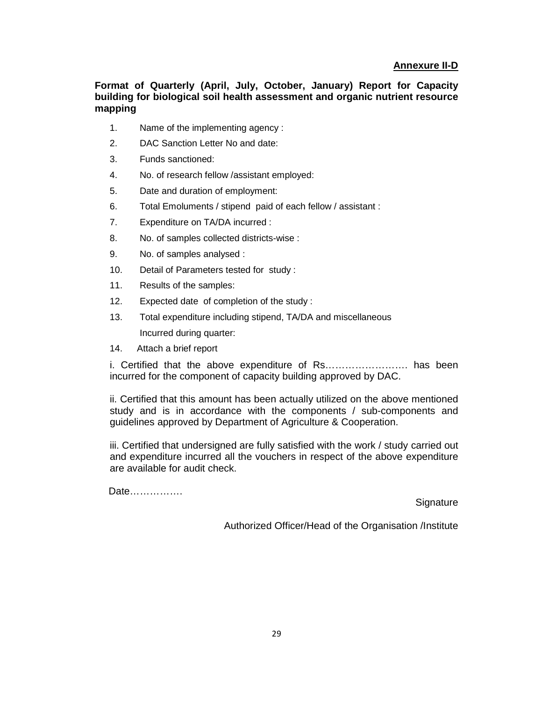#### **Annexure II-D**

**Format of Quarterly (April, July, October, January) Report for Capacity building for biological soil health assessment and organic nutrient resource mapping** 

- 1. Name of the implementing agency :
- 2. DAC Sanction Letter No and date:
- 3. Funds sanctioned:
- 4. No. of research fellow /assistant employed:
- 5. Date and duration of employment:
- 6. Total Emoluments / stipend paid of each fellow / assistant :
- 7. Expenditure on TA/DA incurred :
- 8. No. of samples collected districts-wise :
- 9. No. of samples analysed :
- 10. Detail of Parameters tested for study :
- 11. Results of the samples:
- 12. Expected date of completion of the study :
- 13. Total expenditure including stipend, TA/DA and miscellaneous Incurred during quarter:
- 14. Attach a brief report

i. Certified that the above expenditure of Rs……………………. has been incurred for the component of capacity building approved by DAC.

ii. Certified that this amount has been actually utilized on the above mentioned study and is in accordance with the components / sub-components and guidelines approved by Department of Agriculture & Cooperation.

iii. Certified that undersigned are fully satisfied with the work / study carried out and expenditure incurred all the vouchers in respect of the above expenditure are available for audit check.

Date…………….

**Signature** 

Authorized Officer/Head of the Organisation /Institute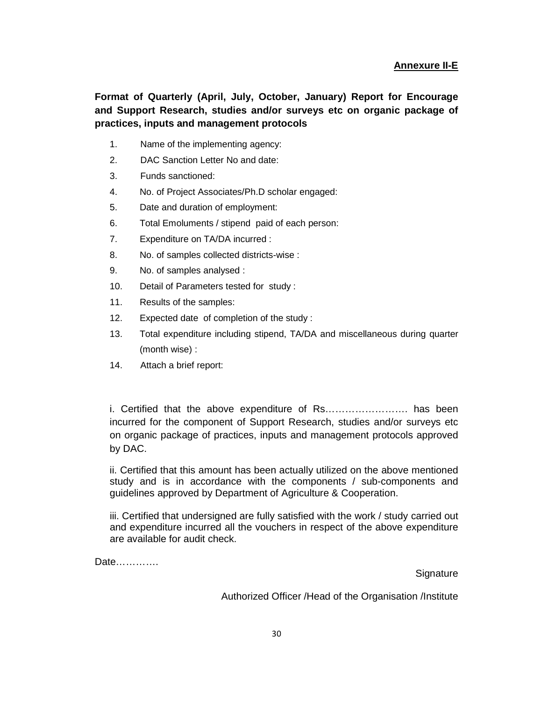**Format of Quarterly (April, July, October, January) Report for Encourage and Support Research, studies and/or surveys etc on organic package of practices, inputs and management protocols** 

- 1. Name of the implementing agency:
- 2. DAC Sanction Letter No and date:
- 3. Funds sanctioned:
- 4. No. of Project Associates/Ph.D scholar engaged:
- 5. Date and duration of employment:
- 6. Total Emoluments / stipend paid of each person:
- 7. Expenditure on TA/DA incurred :
- 8. No. of samples collected districts-wise :
- 9. No. of samples analysed :
- 10. Detail of Parameters tested for study :
- 11. Results of the samples:
- 12. Expected date of completion of the study :
- 13. Total expenditure including stipend, TA/DA and miscellaneous during quarter (month wise) :
- 14. Attach a brief report:

i. Certified that the above expenditure of Rs……………………. has been incurred for the component of Support Research, studies and/or surveys etc on organic package of practices, inputs and management protocols approved by DAC.

ii. Certified that this amount has been actually utilized on the above mentioned study and is in accordance with the components / sub-components and guidelines approved by Department of Agriculture & Cooperation.

iii. Certified that undersigned are fully satisfied with the work / study carried out and expenditure incurred all the vouchers in respect of the above expenditure are available for audit check.

Date………….

**Signature** 

Authorized Officer /Head of the Organisation /Institute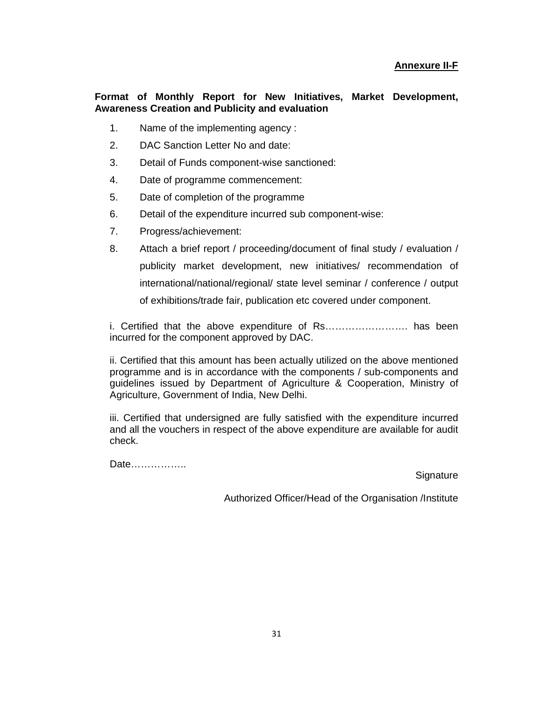#### **Format of Monthly Report for New Initiatives, Market Development, Awareness Creation and Publicity and evaluation**

- 1. Name of the implementing agency :
- 2. DAC Sanction Letter No and date:
- 3. Detail of Funds component-wise sanctioned:
- 4. Date of programme commencement:
- 5. Date of completion of the programme
- 6. Detail of the expenditure incurred sub component-wise:
- 7. Progress/achievement:
- 8. Attach a brief report / proceeding/document of final study / evaluation / publicity market development, new initiatives/ recommendation of international/national/regional/ state level seminar / conference / output of exhibitions/trade fair, publication etc covered under component.

i. Certified that the above expenditure of Rs……………………. has been incurred for the component approved by DAC.

ii. Certified that this amount has been actually utilized on the above mentioned programme and is in accordance with the components / sub-components and guidelines issued by Department of Agriculture & Cooperation, Ministry of Agriculture, Government of India, New Delhi.

iii. Certified that undersigned are fully satisfied with the expenditure incurred and all the vouchers in respect of the above expenditure are available for audit check.

Date……………..

**Signature** 

Authorized Officer/Head of the Organisation /Institute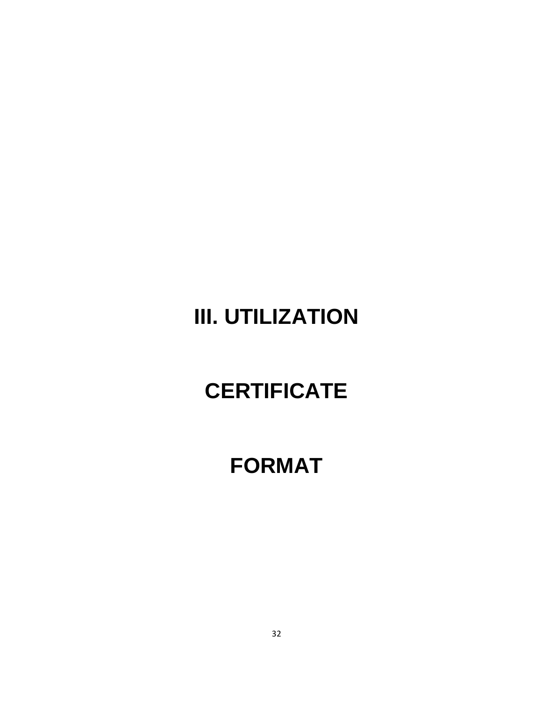# **III. UTILIZATION**

# **CERTIFICATE**

### **FORMAT**